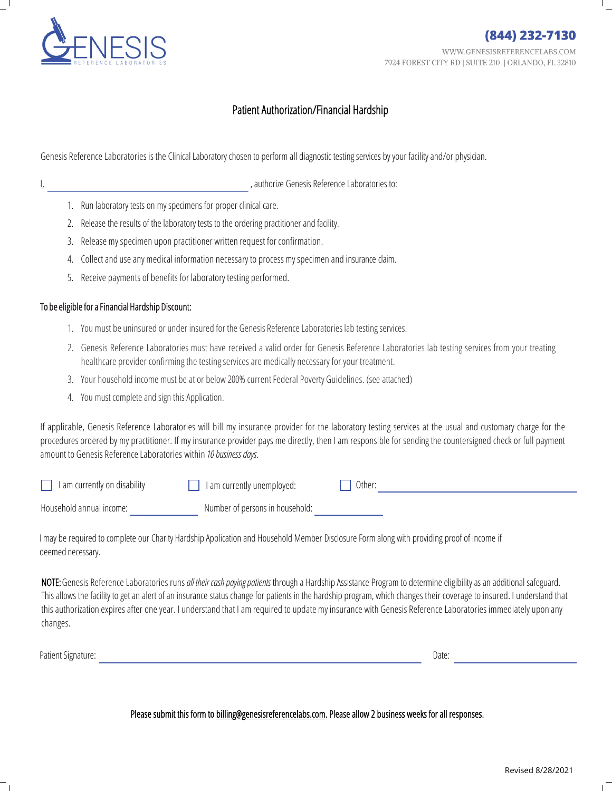

## Patient Authorization/Financial Hardship

Genesis Reference Laboratories is the Clinical Laboratory chosen to perform all diagnostic testing services by your facility and/or physician.

|  |  | 1. Run laboratory tests on my specimens for proper clinical care. |
|--|--|-------------------------------------------------------------------|

2. Release the results of the laboratory tests to the ordering practitioner and facility.

I, authorize Genesis Reference Laboratories to:

- 3. Release my specimen upon practitioner written request for confirmation.
- 4. Collect and use any medical information necessary to process my specimen and insurance claim.
- 5. Receive payments of benefits for laboratory testing performed.

## To be eligible for a Financial Hardship Discount:

- 1. You must be uninsured or under insured for the Genesis Reference Laboratories lab testing services.
- 2. Genesis Reference Laboratories must have received a valid order for Genesis Reference Laboratories lab testing services from your treating healthcare provider confirming the testing services are medically necessary for your treatment.
- 3. Your household income must be at or below 200% current Federal Poverty Guidelines. (see attached)
- 4. You must complete and sign this Application.

If applicable, Genesis Reference Laboratories will bill my insurance provider for the laboratory testing services at the usual and customary charge for the procedures ordered by my practitioner. If my insurance provider pays me directly, then I am responsible for sending the countersigned check or full payment amount to Genesis ReferenceLaboratories within *10business days*.

| I am currently on disability | I am currently unemployed:      | Other: |
|------------------------------|---------------------------------|--------|
| Household annual income:     | Number of persons in household: |        |

I may be required to complete our Charity Hardship Application and Household Member Disclosure Form along with providing proof of income if deemed necessary.

NOTE: Genesis Reference Laboratories runs all their cash paying patients through a Hardship Assistance Program to determine eligibility as an additional safeguard. This allows the facility to get an alert of an insurance status change for patients in the hardship program, which changes their coverage to insured. I understand that this authorization expires after one year. I understand that I am required to update my insurance with Genesis Reference Laboratories immediately upon any changes.

Patient Signature: Date:

## Please submit this form to [billing@genesisreferencelabs.com.](billing@genesisreferencelabs.com) Please allow 2 business weeks for all responses.